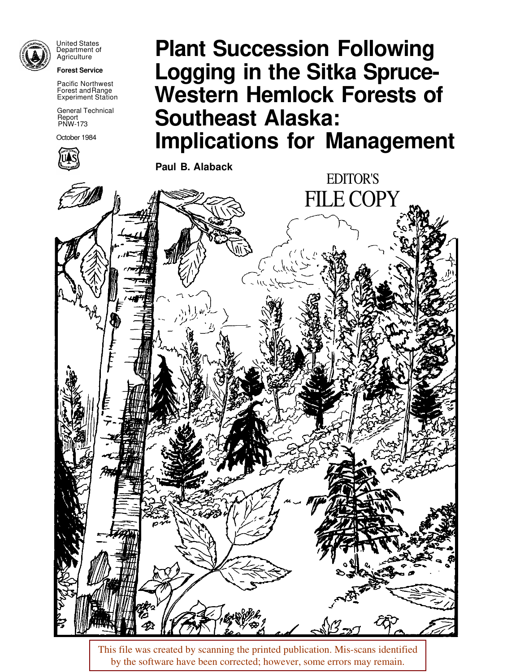

United States Department of Agriculture

**Forest Service** 

Pacific Northwest Forest andRange Experiment Station

General Technical Report PNW- 173

October 1984



# **Plant Succession Following Logging in the Sitka Spruce-Western Hemlock Forests of Southeast Alaska: Implications for Management**

**Paul B. Alaback**



This file was created by scanning the printed publication. Mis-scans identified by the software have been corrected; however, some errors may remain.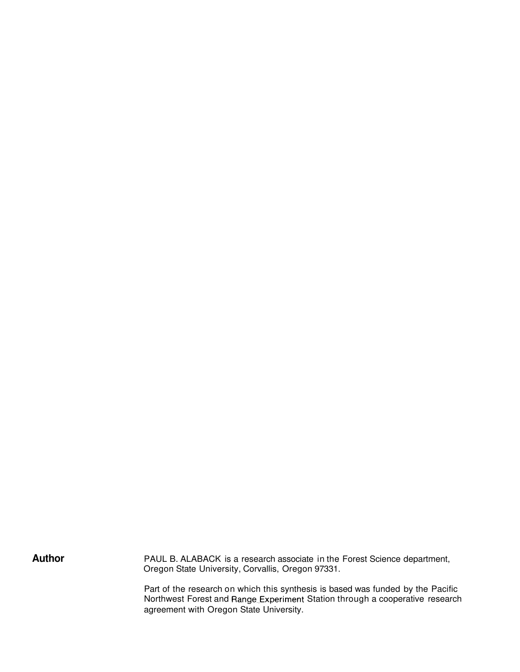Author **PAUL B. ALABACK** is a research associate in the Forest Science department, Oregon State University, Corvallis, Oregon 97331.

> Part of the research on which this synthesis is based was funded by the Pacific Northwest Forest and Range Experiment Station through a cooperative research agreement with Oregon State University.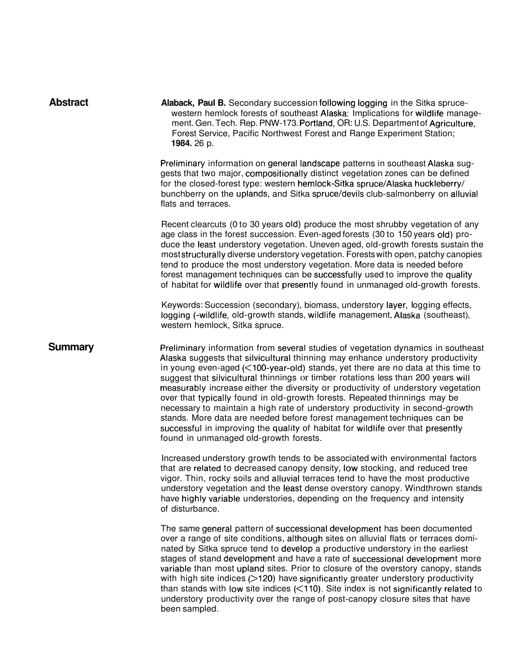| <b>Abstract</b> | Alaback, Paul B. Secondary succession following logging in the Sitka spruce-<br>western hemlock forests of southeast Alaska: Implications for wildlife manage-<br>ment. Gen. Tech. Rep. PNW-173. Portland, OR: U.S. Department of Agriculture,<br>Forest Service, Pacific Northwest Forest and Range Experiment Station;<br>1984. 26 p.                                                                                                                                                                                                                                                                                                                                                                                                                                                                          |
|-----------------|------------------------------------------------------------------------------------------------------------------------------------------------------------------------------------------------------------------------------------------------------------------------------------------------------------------------------------------------------------------------------------------------------------------------------------------------------------------------------------------------------------------------------------------------------------------------------------------------------------------------------------------------------------------------------------------------------------------------------------------------------------------------------------------------------------------|
|                 | Preliminary information on general landscape patterns in southeast Alaska sug-<br>gests that two major, compositionally distinct vegetation zones can be defined<br>for the closed-forest type: western hemlock-Sitka spruce/Alaska huckleberry/<br>bunchberry on the uplands, and Sitka spruce/devils club-salmonberry on alluvial<br>flats and terraces.                                                                                                                                                                                                                                                                                                                                                                                                                                                       |
|                 | Recent clearcuts (0 to 30 years old) produce the most shrubby vegetation of any<br>age class in the forest succession. Even-aged forests (30 to 150 years old) pro-<br>duce the least understory vegetation. Uneven aged, old-growth forests sustain the<br>most structurally diverse understory vegetation. Forests with open, patchy canopies<br>tend to produce the most understory vegetation. More data is needed before<br>forest management techniques can be successfully used to improve the quality<br>of habitat for wildlife over that presently found in unmanaged old-growth forests.                                                                                                                                                                                                              |
|                 | Keywords: Succession (secondary), biomass, understory layer, logging effects,<br>logging (-wildlife, old-growth stands, wildlife management, Alaska (southeast),<br>western hemlock, Sitka spruce.                                                                                                                                                                                                                                                                                                                                                                                                                                                                                                                                                                                                               |
| <b>Summary</b>  | Preliminary information from several studies of vegetation dynamics in southeast<br>Alaska suggests that silvicultural thinning may enhance understory productivity<br>in young even-aged $\left($ <100-year-old) stands, yet there are no data at this time to<br>suggest that silvicultural thinnings or timber rotations less than 200 years will<br>measurably increase either the diversity or productivity of understory vegetation<br>over that typically found in old-growth forests. Repeated thinnings may be<br>necessary to maintain a high rate of understory productivity in second-growth<br>stands. More data are needed before forest management techniques can be<br>successful in improving the quality of habitat for wildlife over that presently<br>found in unmanaged old-growth forests. |
|                 | Increased understory growth tends to be associated with environmental factors<br>that are related to decreased canopy density, low stocking, and reduced tree<br>vigor. Thin, rocky soils and alluvial terraces tend to have the most productive<br>understory vegetation and the least dense overstory canopy. Windthrown stands<br>have highly variable understories, depending on the frequency and intensity<br>of disturbance.                                                                                                                                                                                                                                                                                                                                                                              |
|                 | The same general pattern of successional development has been documented<br>over a range of site conditions, although sites on alluvial flats or terraces domi-<br>nated by Sitka spruce tend to develop a productive understory in the earliest<br>stages of stand development and have a rate of successional development more<br>variable than most upland sites. Prior to closure of the overstory canopy, stands<br>with high site indices $($ > 120) have significantly greater understory productivity<br>than stands with low site indices $(<110)$ . Site index is not significantly related to<br>understory productivity over the range of post-canopy closure sites that have<br>been sampled.                                                                                                       |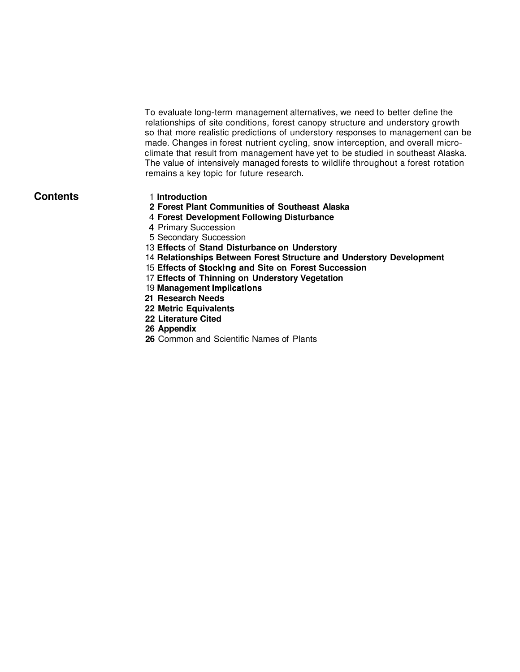To evaluate long-term management alternatives, we need to better define the relationships of site conditions, forest canopy structure and understory growth so that more realistic predictions of understory responses to management can be made. Changes in forest nutrient cycling, snow interception, and overall microclimate that result from management have yet to be studied in southeast Alaska. The value of intensively managed forests to wildlife throughout a forest rotation remains a key topic for future research.

#### **Contents**

- 1 **Introduction**
- **2 Forest Plant Communities of Southeast Alaska**
- 4 **Forest Development Following Disturbance**
- 4 Primary Succession
- 5 Secondary Succession
- 13 **Effects** of **Stand Disturbance on Understory**
- 14 **Relationships Between Forest Structure and Understory Development**
- 15 **Effects of Stockimg and Site on Forest Succession**
- 17 **Effects of Thinning on Understory Vegetation**
- 19 **Management lmplications**
- **21 Research Needs**
- **22 Metric Equivalents**
- **22 Literature Cited**
- **26 Appendix**
- **26** Common and Scientific Names of Plants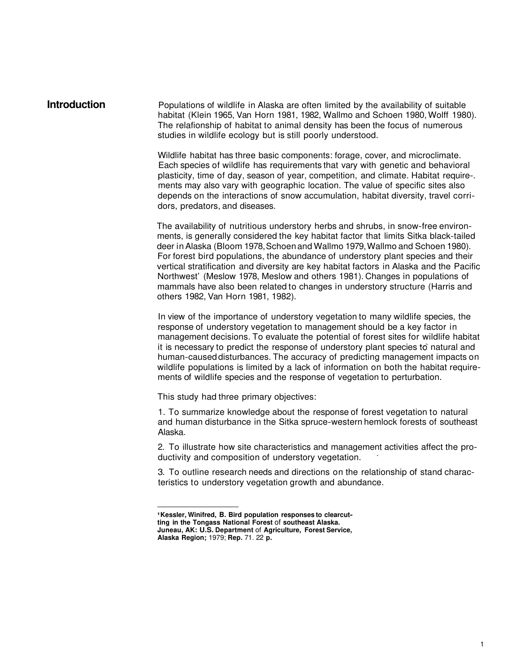**Introduction** Populations of wildlife in Alaska are often limited by the availability of suitable habitat (Klein 1965, Van Horn 1981, 1982, Wallmo and Schoen 1980, Wolff 1980). The relafionship of habitat to animal density has been the focus of numerous studies in wildlife ecology but is still poorly understood.

> Wildlife habitat has three basic components: forage, cover, and microclimate. Each species of wildlife has requirements that vary with genetic and behavioral plasticity, time of day, season of year, competition, and climate. Habitat require-. ments may also vary with geographic location. The value of specific sites also depends on the interactions of snow accumulation, habitat diversity, travel corridors, predators, and diseases.

The availability of nutritious understory herbs and shrubs, in snow-free environments, is generally considered the key habitat factor that limits Sitka black-tailed deer in Alaska (Bloom 1978, Schoen and Wallmo 1979, Wallmo and Schoen 1980). For forest bird populations, the abundance of understory plant species and their vertical stratification and diversity are key habitat factors in Alaska and the Pacific Northwest' (Meslow 1978, Meslow and others 1981). Changes in populations of mammals have also been related to changes in understory structure (Harris and others 1982, Van Horn 1981, 1982).

In view of the importance of understory vegetation to many wildlife species, the response of understory vegetation to management should be a key factor in management decisions. To evaluate the potential of forest sites for wildlife habitat it is necessary to predict the response of understory plant species to natural and human-caused disturbances. The accuracy of predicting management impacts on wildlife populations is limited by a lack of information on both the habitat requirements of wildlife species and the response of vegetation to perturbation.

This study had three primary objectives:

1. To summarize knowledge about the response of forest vegetation to natural and human disturbance in the Sitka spruce-western hemlock forests of southeast Alaska.

2. To illustrate how site characteristics and management activities affect the productivity and composition of understory vegetation. '

3. To outline research needs and directions on the relationship of stand characteristics to understory vegetation growth and abundance.

**Kessler, Winifred, B. Bird population responses to clearcut-**

**ting in the Tongass National Forest** of **southeast Alaska.** 

**Juneau, AK: U.S. Department** of **Agriculture, Forest Service, Alaska Region;** 1979; **Rep.** 71. 22 **p.**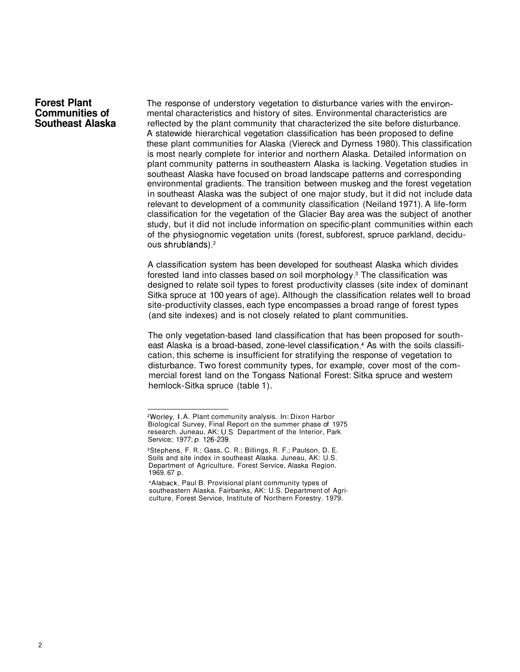#### **Forest Plant Communities of Southeast Alaska**

The response of understory vegetation to disturbance varies with the environmental characteristics and history of sites. Environmental characteristics are reflected by the plant community that characterized the site before disturbance. A statewide hierarchical vegetation classification has been proposed to define these plant communities for Alaska (Viereck and Dyrness 1980). This classification is most nearly complete for interior and northern Alaska. Detailed information on plant community patterns in southeastern Alaska is lacking. Vegetation studies in southeast Alaska have focused on broad landscape patterns and corresponding environmental gradients. The transition between muskeg and the forest vegetation in southeast Alaska was the subject of one major study, but it did not include data relevant to development of a community classification (Neiland 1971). A life-form classification for the vegetation of the Glacier Bay area was the subject of another study, but it did not include information on specific-plant communities within each of the physiognomic vegetation units (forest, subforest, spruce parkland, deciduous shrublands).2

A classification system has been developed for southeast Alaska which divides forested land into classes based on soil morphology. $3$  The classification was designed to relate soil types to forest productivity classes (site index of dominant Sitka spruce at 100 years of age). Although the classification relates well to broad site-productivity classes, each type encompasses a broad range of forest types (and site indexes) and is not closely related to plant communities.

The only vegetation-based land classification that has been proposed for southeast Alaska is a broad-based, zone-level classification.<sup>4</sup> As with the soils classification, this scheme is insufficient for stratifying the response of vegetation to disturbance. Two forest community types, for example, cover most of the commercial forest land on the Tongass National Forest: Sitka spruce and western hemlock-Sitka spruce (table 1).

<sup>2</sup>Worley, I. A. Plant community analysis. In: Dixon Harbor Biological Survey, Final Report on the summer phase of 1975 research. Juneau, AK: U.S. Department of the Interior, Park Service; 1977; p. 126-239.

<sup>3</sup>Stephens, F. R.; Gass, C. R.; Billings, R. F.; Paulson, D. E. Soils and site index in southeast Alaska. Juneau, AK: U.S. Department of Agriculture, Forest Service, Alaska Region. 1969. 67 p.

<sup>4</sup>Alaback, Paul B. Provisional plant community types of southeastern Alaska. Fairbanks, AK: U.S. Department of Agriculture, Forest Service, Institute of Northern Forestry. 1979.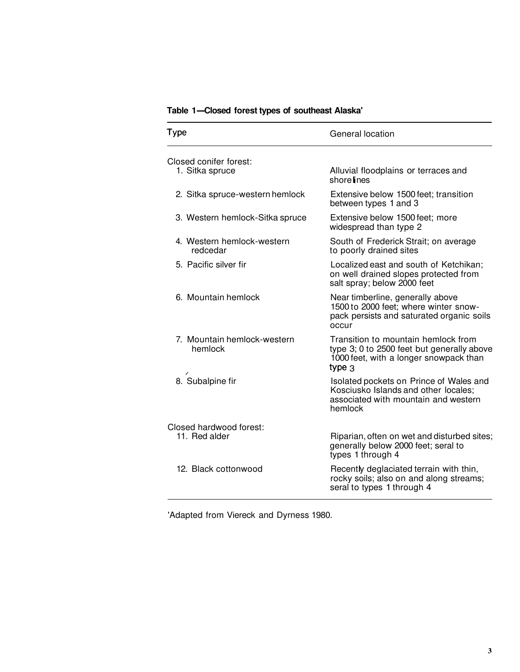| Table 1-Closed forest types of southeast Alaska' |                                                                                                                                         |  |  |
|--------------------------------------------------|-----------------------------------------------------------------------------------------------------------------------------------------|--|--|
| Type                                             | General location                                                                                                                        |  |  |
| Closed conifer forest:<br>1. Sitka spruce        | Alluvial floodplains or terraces and<br>shore lines                                                                                     |  |  |
| 2. Sitka spruce-western hemlock                  | Extensive below 1500 feet; transition<br>between types 1 and 3                                                                          |  |  |
| 3. Western hemlock-Sitka spruce                  | Extensive below 1500 feet; more<br>widespread than type 2                                                                               |  |  |
| 4. Western hemlock-western<br>redcedar           | South of Frederick Strait; on average<br>to poorly drained sites                                                                        |  |  |
| 5. Pacific silver fir                            | Localized east and south of Ketchikan;<br>on well drained slopes protected from<br>salt spray; below 2000 feet                          |  |  |
| 6. Mountain hemlock                              | Near timberline, generally above<br>1500 to 2000 feet; where winter snow-<br>pack persists and saturated organic soils<br>occur         |  |  |
| 7. Mountain hemlock-western<br>hemlock           | Transition to mountain hemlock from<br>type 3; 0 to 2500 feet but generally above<br>1000 feet, with a longer snowpack than<br>type $3$ |  |  |
| 8. Subalpine fir                                 | Isolated pockets on Prince of Wales and<br>Kosciusko Islands and other locales:<br>associated with mountain and western<br>hemlock      |  |  |
| Closed hardwood forest:<br>11. Red alder         | Riparian, often on wet and disturbed sites;<br>generally below 2000 feet; seral to<br>types 1 through 4                                 |  |  |
| 12. Black cottonwood                             | Recently deglaciated terrain with thin,<br>rocky soils; also on and along streams;<br>seral to types 1 through 4                        |  |  |

'Adapted from Viereck and Dyrness 1980.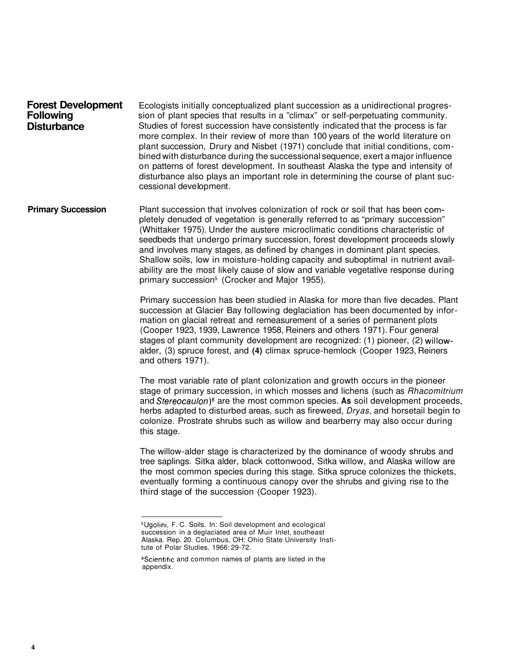| <b>Forest Development</b> | Ecologists initially conceptualized plant succession as a unidirectional progres-                                                                                                                                                                                                                                                                                                                                                                                                                                                             |
|---------------------------|-----------------------------------------------------------------------------------------------------------------------------------------------------------------------------------------------------------------------------------------------------------------------------------------------------------------------------------------------------------------------------------------------------------------------------------------------------------------------------------------------------------------------------------------------|
| <b>Following</b>          | sion of plant species that results in a "climax" or self-perpetuating community.                                                                                                                                                                                                                                                                                                                                                                                                                                                              |
| <b>Disturbance</b>        | Studies of forest succession have consistently indicated that the process is far<br>more complex. In their review of more than 100 years of the world literature on<br>plant succession, Drury and Nisbet (1971) conclude that initial conditions, com-<br>bined with disturbance during the successional sequence, exert a major influence<br>on patterns of forest development. In southeast Alaska the type and intensity of<br>disturbance also plays an important role in determining the course of plant suc-<br>cessional development. |

**Primary Succession** Plant succession that involves colonization of rock or soil that has been completely denuded of vegetation is generally referred to as "primary succession" (Whittaker 1975). Under the austere microclimatic conditions characteristic of seedbeds that undergo primary succession, forest development proceeds slowly and involves many stages, as defined by changes in dominant plant species. Shallow soils, low in moisture-holding capacity and suboptimal in nutrient availability are the most likely cause of slow and variable vegetative response during primary succession<sup>5</sup> (Crocker and Major 1955).

> Primary succession has been studied in Alaska for more than five decades. Plant succession at Glacier Bay following deglaciation has been documented by information on glacial retreat and remeasurement of a series of permanent plots (Cooper 1923, 1939, Lawrence 1958, Reiners and others 1971). Four general stages of plant community development are recognized: (1) pioneer, (2) willowalder, (3) spruce forest, and **(4)** climax spruce-hemlock (Cooper 1923, Reiners and others 1971).

The most variable rate of plant colonization and growth occurs in the pioneer stage of primary succession, in which mosses and lichens (such as *Rhacomitrium* and Stereocaulon)<sup>6</sup> are the most common species. As soil development proceeds, herbs adapted to disturbed areas, such as fireweed, Dryas, and horsetail begin to colonize. Prostrate shrubs such as willow and bearberry may also occur during this stage.

The willow-alder stage is characterized by the dominance of woody shrubs and tree saplings. Sitka alder, black cottonwood, Sitka willow, and Alaska willow are the most common species during this stage. Sitka spruce colonizes the thickets, eventually forming a continuous canopy over the shrubs and giving rise to the third stage of the succession (Cooper 1923).

<sup>5</sup>Ugolini, F. C. Soils. In: Soil development and ecological succession in a deglaciated area of Muir Inlet, southeast Alaska. Rep. 20. Columbus, OH: Ohio State University Institute of Polar Studies. 1966: 29-72.

<sup>6</sup>Scientific and common names of plants are listed in the appendix.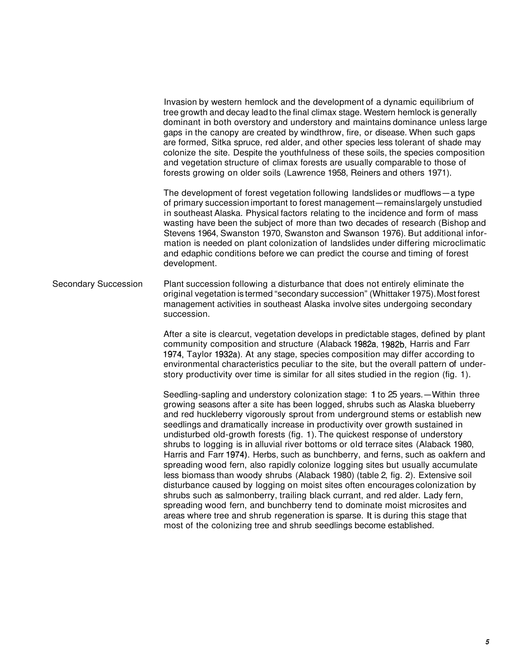Invasion by western hemlock and the development of a dynamic equilibrium of tree growth and decay lead to the final climax stage. Western hemlock is generally dominant in both overstory and understory and maintains dominance unless large gaps in the canopy are created by windthrow, fire, or disease. When such gaps are formed, Sitka spruce, red alder, and other species less tolerant of shade may colonize the site. Despite the youthfulness of these soils, the species composition and vegetation structure of climax forests are usually comparable to those of forests growing on older soils (Lawrence 1958, Reiners and others 1971).

The development of forest vegetation following landslides or mudflows-a type of primary succession important to forest management-remains largely unstudied in southeast Alaska. Physical factors relating to the incidence and form of mass wasting have been the subject of more than two decades of research (Bishop and Stevens 1964, Swanston 1970, Swanston and Swanson 1976). But additional information is needed on plant colonization of landslides under differing microclimatic and edaphic conditions before we can predict the course and timing of forest development.

Secondary Succession Plant succession following a disturbance that does not entirely eliminate the original vegetation is termed "secondary succession" (Whittaker 1975). Most forest management activities in southeast Alaska involve sites undergoing secondary succession.

> After a site is clearcut, vegetation develops in predictable stages, defined by plant community composition and structure (Alaback 1982a, 1982b, Harris and Farr 1974, Taylor 1932a). At any stage, species composition may differ according to environmental characteristics peculiar to the site, but the overall pattern of understory productivity over time is similar for all sites studied in the region (fig. 1).

> Seedling-sapling and understory colonization stage: 1 to 25 years.—Within three growing seasons after a site has been logged, shrubs such as Alaska blueberry and red huckleberry vigorously sprout from underground stems or establish new seedlings and dramatically increase in productivity over growth sustained in undisturbed old-growth forests (fig. 1). The quickest response of understory shrubs to logging is in alluvial river bottoms or old terrace sites (Alaback 1980, Harris and Farr 1974). Herbs, such as bunchberry, and ferns, such as oakfern and spreading wood fern, also rapidly colonize logging sites but usually accumulate less biomass than woody shrubs (Alaback 1980) (table 2, fig. 2). Extensive soil disturbance caused by logging on moist sites often encourages colonization by shrubs such as salmonberry, trailing black currant, and red alder. Lady fern, spreading wood fern, and bunchberry tend to dominate moist microsites and areas where tree and shrub regeneration is sparse. It is during this stage that most of the colonizing tree and shrub seedlings become established.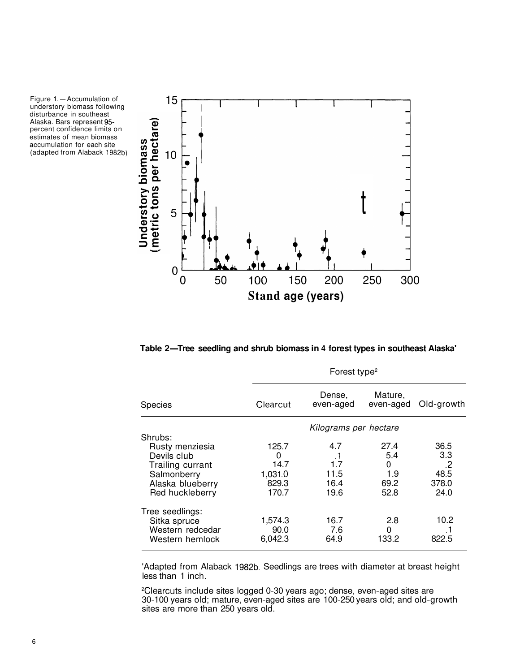



**Table 2-Tree seedling and shrub biomass in 4 forest types in southeast Alaska'** 

|                  |          | Forest type <sup>2</sup> |                      |            |  |
|------------------|----------|--------------------------|----------------------|------------|--|
| <b>Species</b>   | Clearcut | Dense,<br>even-aged      | Mature,<br>even-aged | Old-growth |  |
|                  |          | Kilograms per hectare    |                      |            |  |
| Shrubs:          |          |                          |                      |            |  |
| Rusty menziesia  | 125.7    | 4.7                      | 27.4                 | 36.5       |  |
| Devils club      | 0        | $\cdot$ 1                | 5.4                  | 3.3        |  |
| Trailing currant | 14.7     | 1.7                      | 0                    | .2         |  |
| Salmonberry      | 1,031.0  | 11.5                     | 1.9                  | 48.5       |  |
| Alaska blueberry | 829.3    | 16.4                     | 69.2                 | 378.0      |  |
| Red huckleberry  | 170.7    | 19.6                     | 52.8                 | 24.0       |  |
| Tree seedlings:  |          |                          |                      |            |  |
| Sitka spruce     | 1,574.3  | 16.7                     | 2.8                  | 10.2       |  |
| Western redcedar | 90.0     | 7.6                      | 0                    |            |  |
| Western hemlock  | 6,042.3  | 64.9                     | 133.2                | 822.5      |  |

'Adapted from Alaback 1982b. Seedlings are trees with diameter at breast height less than 1 inch.

2Clearcuts include sites logged 0-30 years ago; dense, even-aged sites are 30-100 years old; mature, even-aged sites are 100-250 years old; and old-growth sites are more than 250 years old.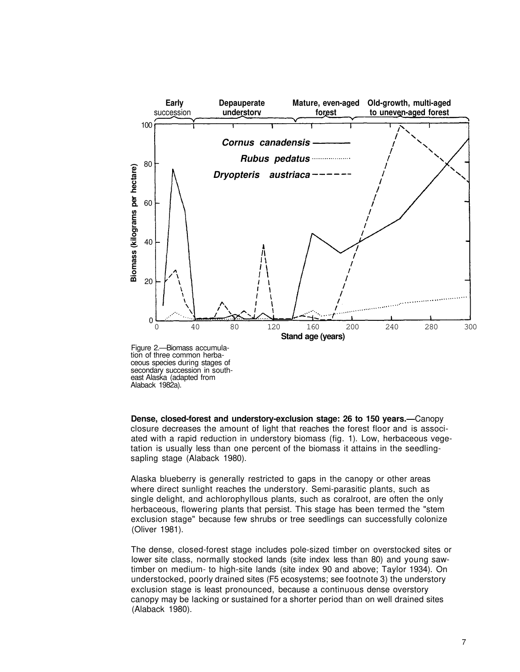



**Dense, closed-forest and understory-exclusion stage: 26 to 150 years.—**Canopy closure decreases the amount of light that reaches the forest floor and is associated with a rapid reduction in understory biomass (fig. 1). Low, herbaceous vegetation is usually less than one percent of the biomass it attains in the seedlingsapling stage (Alaback 1980).

Alaska blueberry is generally restricted to gaps in the canopy or other areas where direct sunlight reaches the understory. Semi-parasitic plants, such as single delight, and achlorophyllous plants, such as coralroot, are often the only herbaceous, flowering plants that persist. This stage has been termed the "stem exclusion stage" because few shrubs or tree seedlings can successfully colonize (Oliver 1981).

The dense, closed-forest stage includes pole-sized timber on overstocked sites or lower site class, normally stocked lands (site index less than 80) and young sawtimber on medium- to high-site lands (site index 90 and above; Taylor 1934). On understocked, poorly drained sites (F5 ecosystems; see footnote 3) the understory exclusion stage is least pronounced, because a continuous dense overstory canopy may be lacking or sustained for a shorter period than on well drained sites (Alaback 1980).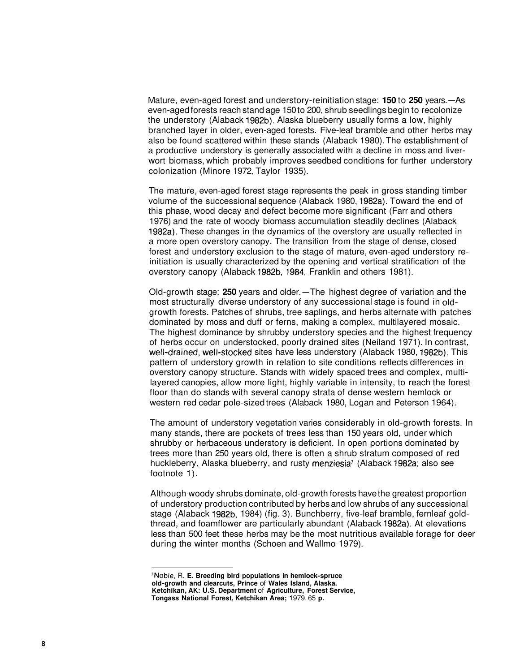Mature, even-aged forest and understory-reinitiation stage: **150** to **250** years.-As even-aged forests reach stand age 150 to 200, shrub seedlings begin to recolonize the understory (Alaback 1982b). Alaska blueberry usually forms a low, highly branched layer in older, even-aged forests. Five-leaf bramble and other herbs may also be found scattered within these stands (Alaback 1980). The establishment of a productive understory is generally associated with a decline in moss and liverwort biomass, which probably improves seedbed conditions for further understory colonization (Minore 1972, Taylor 1935).

The mature, even-aged forest stage represents the peak in gross standing timber volume of the successional sequence (Alaback 1980, 1982a). Toward the end of this phase, wood decay and defect become more significant (Farr and others 1976) and the rate of woody biomass accumulation steadily declines (Alaback 1982a). These changes in the dynamics of the overstory are usually reflected in a more open overstory canopy. The transition from the stage of dense, closed forest and understory exclusion to the stage of mature, even-aged understory reinitiation is usually characterized by the opening and vertical stratification of the overstory canopy (Alaback 1982b, 1984, Franklin and others 1981).

Old-growth stage: 250 years and older.-The highest degree of variation and the most structurally diverse understory of any successional stage is found in oldgrowth forests. Patches of shrubs, tree saplings, and herbs alternate with patches dominated by moss and duff or ferns, making a complex, multilayered mosaic. The highest dominance by shrubby understory species and the highest frequency of herbs occur on understocked, poorly drained sites (Neiland 1971). In contrast, well-drained, well-stocked sites have less understory (Alaback 1980, 1982b). This pattern of understory growth in relation to site conditions reflects differences in overstory canopy structure. Stands with widely spaced trees and complex, multilayered canopies, allow more light, highly variable in intensity, to reach the forest floor than do stands with several canopy strata of dense western hemlock or western red cedar pole-sized trees (Alaback 1980, Logan and Peterson 1964).

The amount of understory vegetation varies considerably in old-growth forests. In many stands, there are pockets of trees less than 150 years old, under which shrubby or herbaceous understory is deficient. In open portions dominated by trees more than 250 years old, there is often a shrub stratum composed of red huckleberry, Alaska blueberry, and rusty menziesia' (Alaback 1982a; also see footnote 1).

Although woody shrubs dominate, old-growth forests have the greatest proportion of understory production contributed by herbs and low shrubs of any successional stage (Alaback 1982b, 1984) (fig. 3). Bunchberry, five-leaf bramble, fernleaf goldthread, and foamflower are particularly abundant (Alaback 1982a). At elevations less than 500 feet these herbs may be the most nutritious available forage for deer during the winter months (Schoen and Wallmo 1979).

**<sup>7</sup>Noble,** R. **E. Breeding bird populations in hemlock-spruce old-growth and clearcuts, Prince** of **Wales Island, Alaska. Ketchikan, AK: U.S. Department** of **Agriculture, Forest Service, Tongass National Forest, Ketchikan Area;** 1979. 65 **p.**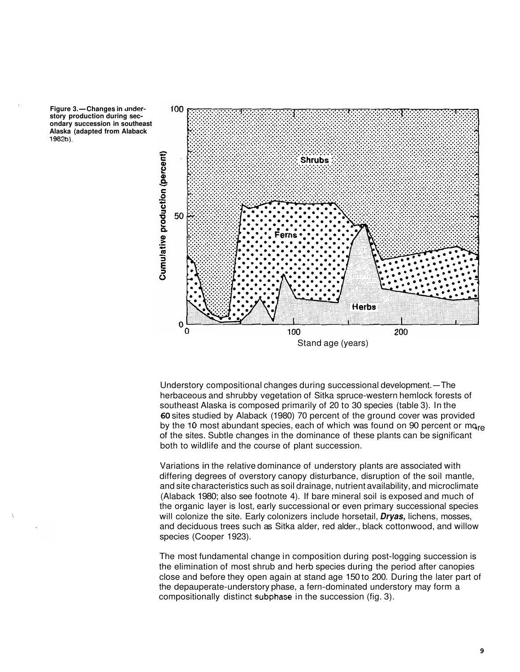



Understory compositional changes during successional development.-The herbaceous and shrubby vegetation of Sitka spruce-western hemlock forests of southeast Alaska is composed primarily of 20 to 30 species (table 3). In the **60** sites studied by Alaback (1980) 70 percent of the ground cover was provided by the 10 most abundant species, each of which was found on 90 percent or mo<sub>re</sub> of the sites. Subtle changes in the dominance of these plants can be significant both to wildlife and the course of plant succession.

Variations in the relative dominance of understory plants are associated with differing degrees of overstory canopy disturbance, disruption of the soil mantle, and site characteristics such as soil drainage, nutrient availability, and microclimate (Alaback 1980; also see footnote 4). If bare mineral soil is exposed and much of the organic layer is lost, early successional or even primary successional species will colonize the site. Early colonizers include horsetail, **Dryas,** lichens, mosses, and deciduous trees such as Sitka alder, red alder., black cottonwood, and willow species (Cooper 1923).

The most fundamental change in composition during post-logging succession is the elimination of most shrub and herb species during the period after canopies close and before they open again at stand age 150 to 200. During the later part of the depauperate-understory phase, a fern-dominated understory may form a compositionally distinct subphase in the succession (fig. 3).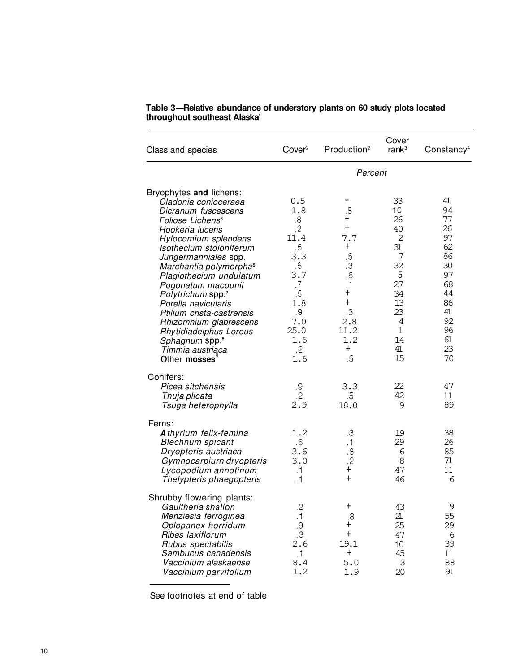| Class and species                                                                                                                                                                                                                                                                                                                                                                                                                                                                      | Cover <sup>2</sup>                                                                                                                       | Production <sup>2</sup>                                                                                                                                                                                | Cover<br>ran $k^3$                                                                                       | Constancy <sup>4</sup>                                                                             |
|----------------------------------------------------------------------------------------------------------------------------------------------------------------------------------------------------------------------------------------------------------------------------------------------------------------------------------------------------------------------------------------------------------------------------------------------------------------------------------------|------------------------------------------------------------------------------------------------------------------------------------------|--------------------------------------------------------------------------------------------------------------------------------------------------------------------------------------------------------|----------------------------------------------------------------------------------------------------------|----------------------------------------------------------------------------------------------------|
|                                                                                                                                                                                                                                                                                                                                                                                                                                                                                        |                                                                                                                                          | Percent                                                                                                                                                                                                |                                                                                                          |                                                                                                    |
| Bryophytes and lichens:<br>Cladonia conioceraea<br>Dicranum fuscescens<br>Foliose Lichens <sup>5</sup><br>Hookeria lucens<br>Hylocomium splendens<br>Isothecium stoloniferum<br>Jungermanniales spp.<br>Marchantia polymorpha <sup>6</sup><br>Plagiothecium undulatum<br>Pogonatum macounii<br>Polytrichum spp. <sup>7</sup><br>Porella navicularis<br>Ptilium crista-castrensis<br>Rhizomnium glabrescens<br>Rhytidiadelphus Loreus<br>Sphagnum spp. <sup>8</sup><br>Timmia austriąca | 0.5<br>1.8<br>8.5<br>$.2\phantom{0}$<br>11.4<br>6.6<br>3.3<br>6.6<br>3.7<br>.7<br>$.5\,$<br>1.8<br>.9<br>7.0<br>25.0<br>1.6<br>$\cdot$ 2 | $\ddag$<br>8.5<br>$\pmb{+}$<br>$\ddot{}$<br>7.7<br>$\pmb{+}$<br>$\overline{5}$<br>$\cdot$<br>$6 \cdot$<br>$\cdot$ 1<br>$\boldsymbol{+}$<br>$\ddot{}$<br>$\mathbf{.3}$<br>2.8<br>11.2<br>1.2<br>$\ddag$ | 33<br>10<br>26<br>40<br>2<br>31<br>7<br>32<br>5<br>27<br>34<br>13<br>23<br>4<br>$\mathbf{1}$<br>14<br>41 | 41<br>94<br>77<br>26<br>97<br>62<br>86<br>30<br>97<br>68<br>44<br>86<br>41<br>92<br>96<br>61<br>23 |
| Other mosses <sup>®</sup>                                                                                                                                                                                                                                                                                                                                                                                                                                                              | 1.6                                                                                                                                      | .5                                                                                                                                                                                                     | 15                                                                                                       | 70                                                                                                 |
| Conifers:<br>Picea sitchensis<br>Thuja plicata<br>Tsuga heterophylla                                                                                                                                                                                                                                                                                                                                                                                                                   | .9<br>$.2\overline{ }$<br>2.9                                                                                                            | 3.3<br>$.5\,$<br>18.0                                                                                                                                                                                  | 22<br>42<br>9                                                                                            | 47<br>11<br>89                                                                                     |
| Ferns:<br>Athyrium felix-femina<br><b>Blechnum</b> spicant<br>Dryopteris austriaca<br>Gymnocarpiurn dryopteris<br>Lycopodium annotinum<br>Thelypteris phaegopteris                                                                                                                                                                                                                                                                                                                     | 1.2<br>.6<br>3.6<br>3.0<br>$\cdot$ 1<br>$\cdot$ 1                                                                                        | $\cdot$ 3<br>.1<br>$8 \,$<br>$.2\,$<br>$\pm$<br>$\ddot{}$                                                                                                                                              | 19<br>29<br>6<br>8<br>47<br>46                                                                           | 38<br>26<br>85<br>71<br>11<br>6                                                                    |
| Shrubby flowering plants:<br>Gaultheria shallon<br>Menziesia ferroginea<br>Oplopanex horridum<br>Ribes laxiflorum<br>Rubus spectabilis<br>Sambucus canadensis<br>Vaccinium alaskaense<br>Vaccinium parvifolium                                                                                                                                                                                                                                                                         | .2<br>$\cdot$ 1<br>$\boldsymbol{\theta}$<br>$\mathbf{.3}$<br>2.6<br>$\cdot$ 1<br>8.4<br>1.2                                              | $^\mathrm{+}$<br>.8<br>+<br>$\ddag$<br>19.1<br>$\pmb{+}$<br>5.0<br>1.9                                                                                                                                 | 43<br>21<br>25<br>47<br>10<br>45<br>3<br>20                                                              | 9<br>55<br>29<br>6<br>39<br>11<br>88<br>91                                                         |

# **Table 3-Relative abundance of understory plants on 60 study plots located throughout southeast Alaska'**

See footnotes at end of table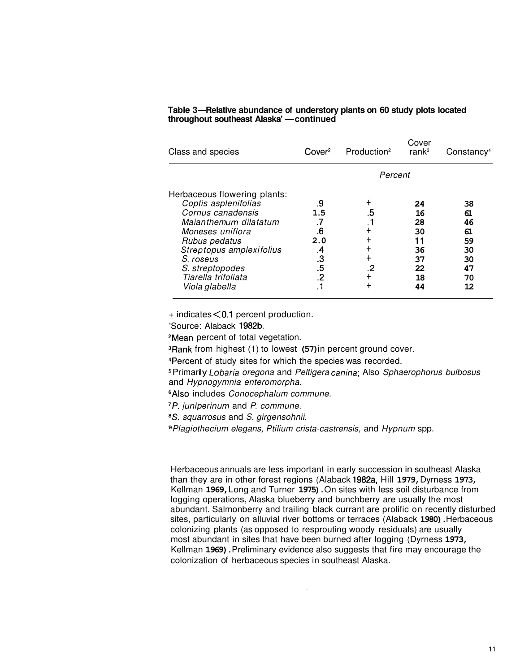| Class and species                                                                                                                                                                                                                            | Cover <sup>2</sup>                                        | Production <sup>2</sup>             | Cover<br>ran $k^3$                                       | Constancy <sup>4</sup>                                   |
|----------------------------------------------------------------------------------------------------------------------------------------------------------------------------------------------------------------------------------------------|-----------------------------------------------------------|-------------------------------------|----------------------------------------------------------|----------------------------------------------------------|
|                                                                                                                                                                                                                                              |                                                           | Percent                             |                                                          |                                                          |
| Herbaceous flowering plants:<br>Coptis asplenifolias<br>Cornus canadensis<br>Maianthemum dilatatum<br>Moneses uniflora<br>Rubus pedatus<br>Streptopus amplexifolius<br>S. roseus<br>S. streptopodes<br>Tiarella trifoliata<br>Viola glabella | .9<br>1.5<br>.7<br>.6<br>2.0<br>.4<br>.3<br>.5<br>$\cdot$ | ٠<br>.5<br>. 1<br>┿<br>┿<br>╋<br>.2 | 24<br>16<br>28<br>30<br>11<br>36<br>37<br>22<br>18<br>44 | 38<br>61<br>46<br>61<br>59<br>30<br>30<br>47<br>70<br>12 |

## **Table 3-Relative abundance of understory plants on 60 study plots located**  Table 3—Relative abundance of understory<br>throughout southeast Alaska' — continued

+ indicates **<0.1** percent production.

'Source: Alaback **1982b.** 

2Mean percent of total vegetation.

3Rank from highest (1) to lowest **(57)** in percent ground cover.

<sup>4</sup>Percent of study sites for which the species was recorded.

and Hypnogymnia enteromorpha. <sup>5</sup> Primarily Lobaria oregona and Peltigera canina; Also Sphaerophorus bulbosus

**6Also includes Conocephalum commune.** 

7P. juniperinum and P. commune.

<sup>8</sup>S. squarrosus and S. girgensohnii.

Plagiothecium elegans, Ptilium crista-castrensis, and Hypnum spp.

Herbaceous annuals are less important in early succession in southeast Alaska than they are in other forest regions (Alaback **1982a,** Hill **1979,** Dyrness **1973,**  Kellman **1969,** Long and Turner **1975).** On sites with less soil disturbance from logging operations, Alaska blueberry and bunchberry are usually the most abundant. Salmonberry and trailing black currant are prolific on recently disturbed sites, particularly on alluvial river bottoms or terraces (Alaback **1980).** Herbaceous colonizing plants (as opposed to resprouting woody residuals) are usually most abundant in sites that have been burned after logging (Dyrness **1973,**  Kellman **1969).** Preliminary evidence also suggests that fire may encourage the colonization of herbaceous species in southeast Alaska.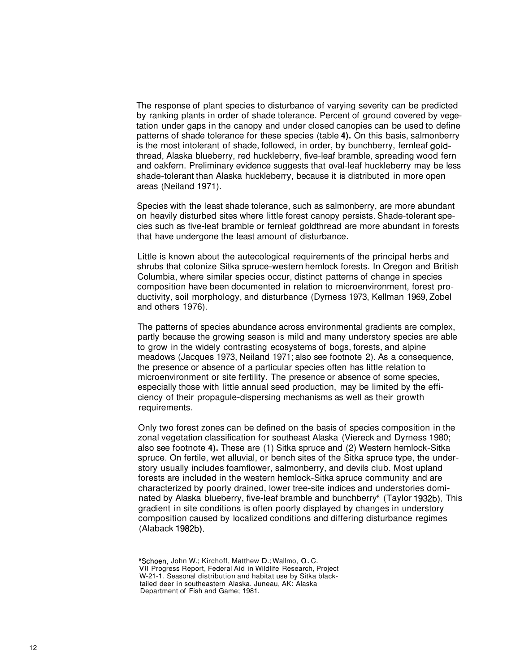The response of plant species to disturbance of varying severity can be predicted by ranking plants in order of shade tolerance. Percent of ground covered by vegetation under gaps in the canopy and under closed canopies can be used to define patterns of shade tolerance for these species (table **4).** On this basis, salmonberry is the most intolerant of shade, followed, in order, by bunchberry, fernleaf goldthread, Alaska blueberry, red huckleberry, five-leaf bramble, spreading wood fern and oakfern. Preliminary evidence suggests that oval-leaf huckleberry may be less shade-tolerant than Alaska huckleberry, because it is distributed in more open areas (Neiland 1971).

Species with the least shade tolerance, such as salmonberry, are more abundant on heavily disturbed sites where little forest canopy persists. Shade-tolerant species such as five-leaf bramble or fernleaf goldthread are more abundant in forests that have undergone the least amount of disturbance.

Little is known about the autecological requirements of the principal herbs and shrubs that colonize Sitka spruce-western hemlock forests. In Oregon and British Columbia, where similar species occur, distinct patterns of change in species composition have been documented in relation to microenvironment, forest productivity, soil morphology, and disturbance (Dyrness 1973, Kellman 1969, Zobel and others 1976).

The patterns of species abundance across environmental gradients are complex, partly because the growing season is mild and many understory species are able to grow in the widely contrasting ecosystems of bogs, forests, and alpine meadows (Jacques 1973, Neiland 1971; also see footnote 2). As a consequence, the presence or absence of a particular species often has little relation to microenvironment or site fertility. The presence or absence of some species, especially those with little annual seed production, may be limited by the efficiency of their propagule-dispersing mechanisms as well as their growth requirements.

Only two forest zones can be defined on the basis of species composition in the zonal vegetation classification for southeast Alaska (Viereck and Dyrness 1980; also see footnote **4).** These are (1) Sitka spruce and (2) Western hemlock-Sitka spruce. On fertile, wet alluvial, or bench sites of the Sitka spruce type, the understory usually includes foamflower, salmonberry, and devils club. Most upland forests are included in the western hemlock-Sitka spruce community and are characterized by poorly drained, lower tree-site indices and understories dominated by Alaska blueberry, five-leaf bramble and bunchberry<sup>8</sup> (Taylor 1932b). This gradient in site conditions is often poorly displayed by changes in understory composition caused by localized conditions and differing disturbance regimes (Alaback 1982b).

<sup>&</sup>lt;sup>8</sup>Schoen, John W.; Kirchoff, Matthew D.; Wallmo, O.C. VI1 Progress Report, Federal Aid in Wildlife Research, Project W-21-1. Seasonal distribution and habitat use by Sitka blacktailed deer in southeastern Alaska. Juneau, AK: Alaska Department of Fish and Game; 1981.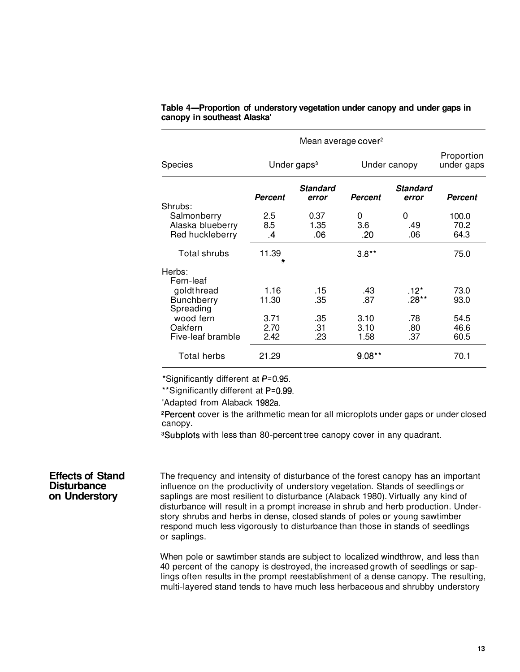|                                                    |                             | Mean average cover <sup>2</sup> |                      |                          |                          |
|----------------------------------------------------|-----------------------------|---------------------------------|----------------------|--------------------------|--------------------------|
| Species                                            | Under gaps <sup>3</sup>     |                                 | Under canopy         |                          | Proportion<br>under gaps |
| Shrubs:                                            | <b>Percent</b>              | <b>Standard</b><br>error        | Percent              | <b>Standard</b><br>error | <b>Percent</b>           |
| Salmonberry<br>Alaska blueberry<br>Red huckleberry | 2.5<br>8.5<br>$\mathcal{A}$ | 0.37<br>1.35<br>.06             | 0<br>3.6<br>.20      | 0<br>.49<br>.06          | 100.0<br>70.2<br>64.3    |
| Total shrubs                                       | 11.39                       |                                 | $3.8**$              |                          | 75.0                     |
| Herbs:<br>Fern-leaf                                |                             |                                 |                      |                          |                          |
| goldthread<br><b>Bunchberry</b><br>Spreading       | 1.16<br>11.30               | .15<br>.35                      | .43<br>.87           | $.12*$<br>$.28**$        | 73.0<br>93.0             |
| wood fern<br>Oakfern<br>Five-leaf bramble          | 3.71<br>2.70<br>2.42        | .35<br>.31<br>.23               | 3.10<br>3.10<br>1.58 | .78<br>.80<br>.37        | 54.5<br>46.6<br>60.5     |
| Total herbs                                        | 21.29                       |                                 | $9.08**$             |                          | 70.1                     |

|                             | Table 4—Proportion of understory vegetation under canopy and under gaps in |  |
|-----------------------------|----------------------------------------------------------------------------|--|
| canopy in southeast Alaska' |                                                                            |  |

\*Significantly different at P=0.95.

\*\*Significantly different at P=O.99.

'Adapted from Alaback 1982a.

<sup>2</sup>Percent cover is the arithmetic mean for all microplots under gaps or under closed canopy.

3Subplots with less than 80-percent tree canopy cover in any quadrant.

#### **Effects of Stand Disturbance on Understory**

The frequency and intensity of disturbance of the forest canopy has an important influence on the productivity of understory vegetation. Stands of seedlings or saplings are most resilient to disturbance (Alaback 1980). Virtually any kind of disturbance will result in a prompt increase in shrub and herb production. Understory shrubs and herbs in dense, closed stands of poles or young sawtimber respond much less vigorously to disturbance than those in stands of seedlings or saplings.

When pole or sawtimber stands are subject to localized windthrow, and less than 40 percent of the canopy is destroyed, the increased growth of seedlings or saplings often results in the prompt reestablishment of a dense canopy. The resulting, multi-layered stand tends to have much less herbaceous and shrubby understory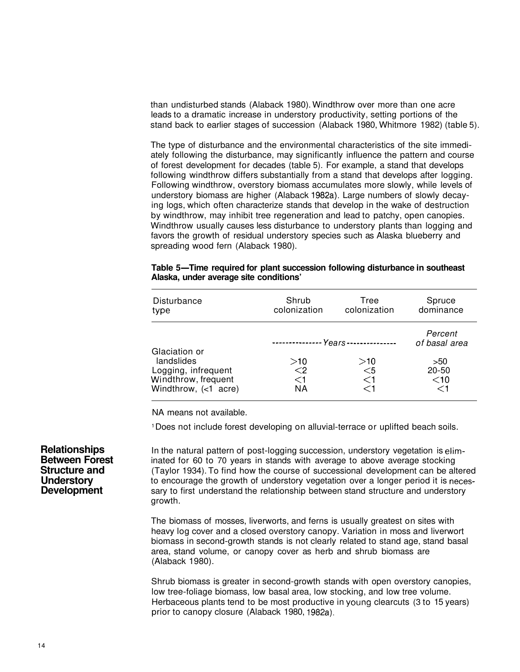than undisturbed stands (Alaback 1980). Windthrow over more than one acre leads to a dramatic increase in understory productivity, setting portions of the stand back to earlier stages of succession (Alaback 1980, Whitmore 1982) (table 5).

The type of disturbance and the environmental characteristics of the site immediately following the disturbance, may significantly influence the pattern and course of forest development for decades (table 5). For example, a stand that develops following windthrow differs substantially from a stand that develops after logging. Following windthrow, overstory biomass accumulates more slowly, while levels of understory biomass are higher (Alaback 1982a). Large numbers of slowly decaying logs, which often characterize stands that develop in the wake of destruction by windthrow, may inhibit tree regeneration and lead to patchy, open canopies. Windthrow usually causes less disturbance to understory plants than logging and favors the growth of residual understory species such as Alaska blueberry and spreading wood fern (Alaback 1980).

| Disturbance<br>type                        | Shrub<br>colonization | Tree<br>colonization                 | Spruce<br>dominance      |
|--------------------------------------------|-----------------------|--------------------------------------|--------------------------|
| Glaciation or                              |                       | --------------- Years--------------- | Percent<br>of basal area |
| landslides                                 | >10<br>$\leq$ 2       | >10                                  | >50                      |
| Logging, infrequent<br>Windthrow, frequent | $<$ 1                 | $<$ 5<br>$<$ 1                       | $20 - 50$<br>$<$ 10      |
| Windthrow, $(<1$ acre)                     | ΝA                    | ╱1                                   | $<$ 1                    |

#### **Table 5-Time required for plant succession following disturbance in southeast Alaska, under average site conditions'**

NA means not available.

Does not include forest developing on alluvial-terrace or uplifted beach soils.

In the natural pattern of post-logging succession, understory vegetation is eliminated for 60 to 70 years in stands with average to above average stocking (Taylor 1934). To find how the course of successional development can be altered to encourage the growth of understory vegetation over a longer period it is necessary to first understand the relationship between stand structure and understory growth.

The biomass of mosses, liverworts, and ferns is usually greatest on sites with heavy log cover and a closed overstory canopy. Variation in moss and liverwort biomass in second-growth stands is not clearly related to stand age, stand basal area, stand volume, or canopy cover as herb and shrub biomass are (Alaback 1980).

Shrub biomass is greater in second-growth stands with open overstory canopies, low tree-foliage biomass, low basal area, low stocking, and low tree volume. Herbaceous plants tend to be most productive in young clearcuts (3 to 15 years) prior to canopy closure (Alaback 1980, 1982a).

#### **Relationships Between Forest Structure and Understory Development**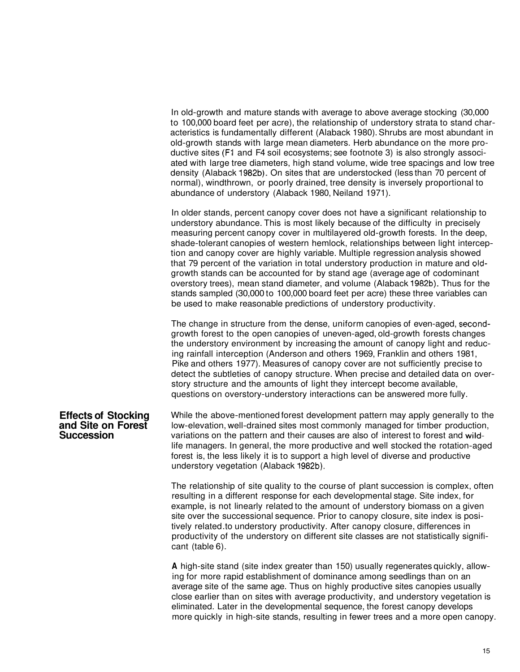In old-growth and mature stands with average to above average stocking (30,000 to 100,000 board feet per acre), the relationship of understory strata to stand characteristics is fundamentally different (Alaback 1980). Shrubs are most abundant in old-growth stands with large mean diameters. Herb abundance on the more productive sites (F1 and F4 soil ecosystems; see footnote 3) is also strongly associated with large tree diameters, high stand volume, wide tree spacings and low tree density (Alaback 1982b). On sites that are understocked (less than 70 percent of normal), windthrown, or poorly drained, tree density is inversely proportional to abundance of understory (Alaback 1980, Neiland 1971).

In older stands, percent canopy cover does not have a significant relationship to understory abundance. This is most likely because of the difficulty in precisely measuring percent canopy cover in multilayered old-growth forests. In the deep, shade-tolerant canopies of western hemlock, relationships between light interception and canopy cover are highly variable. Multiple regression analysis showed that 79 percent of the variation in total understory production in mature and oldgrowth stands can be accounted for by stand age (average age of codominant overstory trees), mean stand diameter, and volume (Alaback 1982b). Thus for the stands sampled (30,000 to 100,000 board feet per acre) these three variables can be used to make reasonable predictions of understory productivity.

The change in structure from the dense, uniform canopies of even-aged, secondgrowth forest to the open canopies of uneven-aged, old-growth forests changes the understory environment by increasing the amount of canopy light and reducing rainfall interception (Anderson and others 1969, Franklin and others 1981, Pike and others 1977). Measures of canopy cover are not sufficiently precise to detect the subtleties of canopy structure. When precise and detailed data on overstory structure and the amounts of light they intercept become available, questions on overstory-understory interactions can be answered more fully.

## **Effects of Stocking and Site on Forest Succession**

While the above-mentioned forest development pattern may apply generally to the low-elevation, well-drained sites most commonly managed for timber production, variations on the pattern and their causes are also of interest to forest and wildlife managers. In general, the more productive and well stocked the rotation-aged forest is, the less likely it is to support a high level of diverse and productive understory vegetation (Alaback 1982b).

The relationship of site quality to the course of plant succession is complex, often resulting in a different response for each developmental stage. Site index, for example, is not linearly related to the amount of understory biomass on a given site over the successional sequence. Prior to canopy closure, site index is positively related .to understory productivity. After canopy closure, differences in productivity of the understory on different site classes are not statistically significant (table 6).

**A** high-site stand (site index greater than 150) usually regenerates quickly, allowing for more rapid establishment of dominance among seedlings than on an average site of the same age. Thus on highly productive sites canopies usually close earlier than on sites with average productivity, and understory vegetation is eliminated. Later in the developmental sequence, the forest canopy develops more quickly in high-site stands, resulting in fewer trees and a more open canopy.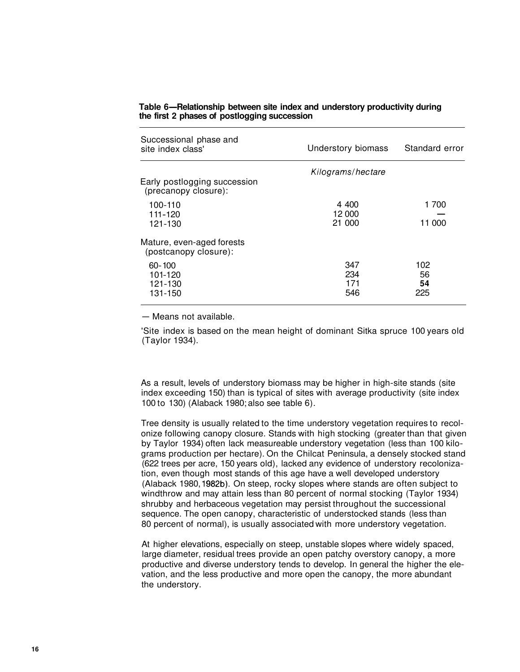| Successional phase and<br>site index class'          | Understory biomass | Standard error |
|------------------------------------------------------|--------------------|----------------|
|                                                      | Kilograms/hectare  |                |
| Early postlogging succession<br>(precanopy closure): |                    |                |
| 100-110                                              | 4 400              | 1 700          |
| 111-120                                              | 12 000             |                |
| 121-130                                              | 21 000             | 11 000         |
| Mature, even-aged forests<br>(postcanopy closure):   |                    |                |
| $60 - 100$                                           | 347                | 102            |
| 101-120                                              | 234                | 56             |
| 121-130                                              | 171                | 54             |
| 131-150                                              | 546                | 225            |
|                                                      |                    |                |

#### **Table 6-Relationship between site index and understory productivity during the first 2 phases of postlogging succession**

- Means not available.

'Site index is based on the mean height of dominant Sitka spruce 100 years old (Taylor 1934).

As a result, levels of understory biomass may be higher in high-site stands (site index exceeding 150) than is typical of sites with average productivity (site index 100 to 130) (Alaback 1980; also see table 6).

Tree density is usually related to the time understory vegetation requires to recolonize following canopy closure. Stands with high stocking (greater than that given by Taylor 1934) often lack measureable understory vegetation (less than 100 kilograms production per hectare). On the Chilcat Peninsula, a densely stocked stand (622 trees per acre, 150 years old), lacked any evidence of understory recolonization, even though most stands of this age have a well developed understory (Alaback 1980, 1982b). On steep, rocky slopes where stands are often subject to windthrow and may attain less than 80 percent of normal stocking (Taylor 1934) shrubby and herbaceous vegetation may persist throughout the successional sequence. The open canopy, characteristic of understocked stands (less than 80 percent of normal), is usually associated with more understory vegetation.

At higher elevations, especially on steep, unstable slopes where widely spaced, large diameter, residual trees provide an open patchy overstory canopy, a more productive and diverse understory tends to develop. In general the higher the elevation, and the less productive and more open the canopy, the more abundant the understory.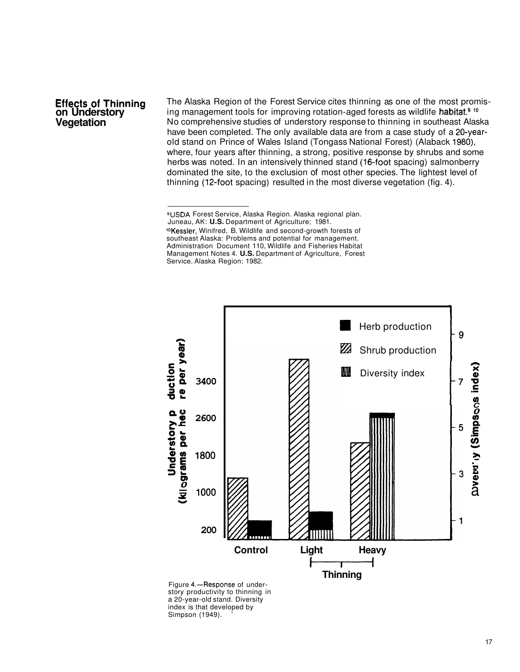#### **Effects of Thinning on Understory Vegetation**

The Alaska Region of the Forest Service cites thinning as one of the most promising management tools for improving rotation-aged forests as wildlife habitat.<sup>9</sup> <sup>10</sup> No comprehensive studies of understory response to thinning in southeast Alaska have been completed. The only available data are from a case study of a 20-yearold stand on Prince of Wales Island (Tongass National Forest) (Alaback 1980), where, four years after thinning, a strong, positive response by shrubs and some herbs was noted. In an intensively thinned stand (16-foot spacing) salmonberry dominated the site, to the exclusion of most other species. The lightest level of thinning (12-foot spacing) resulted in the most diverse vegetation (fig. 4).



Figure 4.-Response of understory productivity to thinning in a 20-year-old stand. Diversity index is that developed by Simpson (1949).

<sup>9</sup>USDA Forest Service, Alaska Region. Alaska regional plan. Juneau, AK: **U.S.** Department of Agriculture; 1981. <sup>10</sup> Kessler, Winifred, B. Wildlife and second-growth forests of southeast Alaska: Problems and potential for management. Administration Document 110, Wildlife and Fisheries Habitat Management Notes 4. **U.S.** Department of Agriculture, Forest Service, Alaska Region; 1982.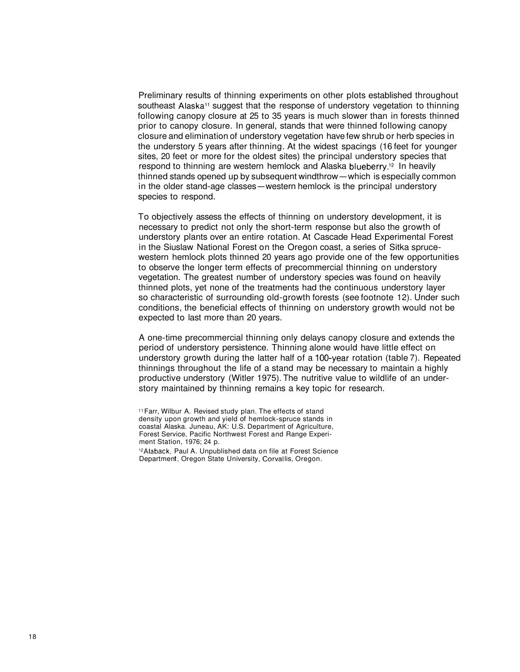Preliminary results of thinning experiments on other plots established throughout southeast Alaska<sup>11</sup> suggest that the response of understory vegetation to thinning following canopy closure at 25 to 35 years is much slower than in forests thinned prior to canopy closure. In general, stands that were thinned following canopy closure and elimination of understory vegetation have few shrub or herb species in the understory 5 years after thinning. At the widest spacings (16 feet for younger sites, 20 feet or more for the oldest sites) the principal understory species that respond to thinning are western hemlock and Alaska blueberry.12 In heavily stes, zo feet of more for the block sites) the principal understory species that<br>respond to thinning are western hemlock and Alaska blueberry.<sup>12</sup> In heavily<br>thinned stands opened up by subsequent windthrow—which is especi respond to thinning are western hemlock and Alaska blueberry. In heavily<br>thinned stands opened up by subsequent windthrow—which is especially com<br>in the older stand-age classes—western hemlock is the principal understory species to respond.

To objectively assess the effects of thinning on understory development, it is necessary to predict not only the short-term response but also the growth of understory plants over an entire rotation. At Cascade Head Experimental Forest in the Siuslaw National Forest on the Oregon coast, a series of Sitka sprucewestern hemlock plots thinned 20 years ago provide one of the few opportunities to observe the longer term effects of precommercial thinning on understory vegetation. The greatest number of understory species was found on heavily thinned plots, yet none of the treatments had the continuous understory layer so characteristic of surrounding old-growth forests (see footnote 12). Under such conditions, the beneficial effects of thinning on understory growth would not be expected to last more than 20 years.

A one-time precommercial thinning only delays canopy closure and extends the period of understory persistence. Thinning alone would have little effect on understory growth during the latter half of a 100-year rotation (table 7). Repeated thinnings throughout the life of a stand may be necessary to maintain a highly productive understory (Witler 1975). The nutritive value to wildlife of an understory maintained by thinning remains a key topic for research.

**l1** Farr, Wilbur A. Revised study plan. The effects of stand density upon growth and yield of hemlock-spruce stands in coastal Alaska. Juneau, AK: U.S. Department of Agriculture, Forest Service, Pacific Northwest Forest and Range Experiment Station, 1976; 24 p.

<sup>12</sup>Alaback, Paul A. Unpublished data on file at Forest Science Department, Oregon State University, Corvallis, Oregon.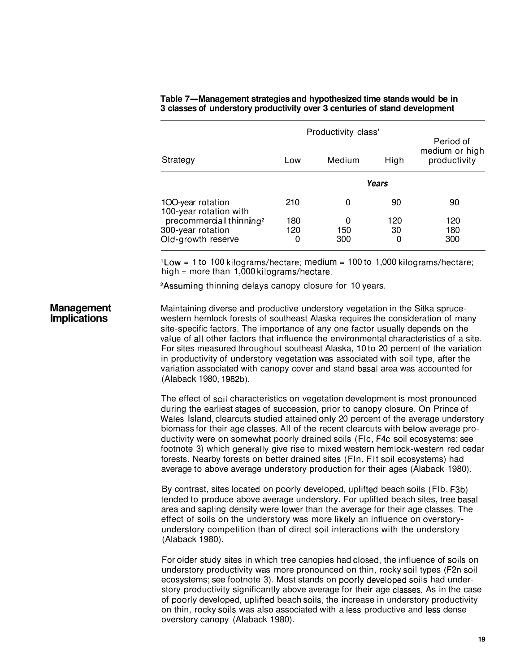|                                                                                 |                 | Productivity class' |                | Period of                      |
|---------------------------------------------------------------------------------|-----------------|---------------------|----------------|--------------------------------|
| Strategy                                                                        | Low             | Medium              | High           | medium or high<br>productivity |
|                                                                                 |                 |                     | Years          |                                |
| 100-year rotation<br>100-year rotation with                                     | 210             | 0                   | 90             | 90                             |
| precomrnercial thinning <sup>2</sup><br>300-year rotation<br>Old-growth reserve | 180<br>120<br>0 | 0<br>150<br>300     | 120<br>30<br>0 | 120<br>180<br>300              |

#### **Table 7-Management strategies and hypothesized time stands would be in 3 classes of understory productivity over 3 centuries of stand development**

'Low = 1 to 100 kilograms/hectare; medium = 100 to 1,000 kilograms/hectare; high  $=$  more than 1,000 kilograms/hectare.

2Assuming thinning delays canopy closure for 10 years.

**Management Implications**  Maintaining diverse and productive understory vegetation in the Sitka sprucewestern hemlock forests of southeast Alaska requires the consideration of many site-specific factors. The importance of any one factor usually depends on the value of all other factors that influence the environmental characteristics of a site. For sites measured throughout southeast Alaska, 10 to 20 percent of the variation in productivity of understory vegetation was associated with soil type, after the variation associated with canopy cover and stand basal area was accounted for (Alaback 1980, 1982b).

> The effect of soil characteristics on vegetation development is most pronounced during the earliest stages of succession, prior to canopy closure. On Prince of Wales Island, clearcuts studied attained only 20 percent of the average understory biomass for their age classes. All of the recent clearcuts with below average productivity were on somewhat poorly drained soils (Flc, F4c soil ecosystems; see footnote 3) which generally give rise to mixed western hemlock-western red cedar forests. Nearby forests on better drained sites (Fln, Flt soil ecosystems) had average to above average understory production for their ages (Alaback 1980).

By contrast, sites located on poorly developed, uplifted beach soils (Flb, F3b) tended to produce above average understory. For uplifted beach sites, tree basal area and sapling density were lower than the average for their age classes. The effect of soils on the understory was more likely an influence on overstoryunderstory competition than of direct soil interactions with the understory (Alaback 1980).

For older study sites in which tree canopies had closed, the influence of soils on understory productivity was more pronounced on thin, rocky soil types (F2n soil ecosystems; see footnote 3). Most stands on poorly developed soils had understory productivity significantly above average for their age classes. As in the case of poorly developed, uplifted beach soils, the increase in understory productivity on thin, rocky soils was also associated with a iess productive and less dense overstory canopy (Alaback 1980).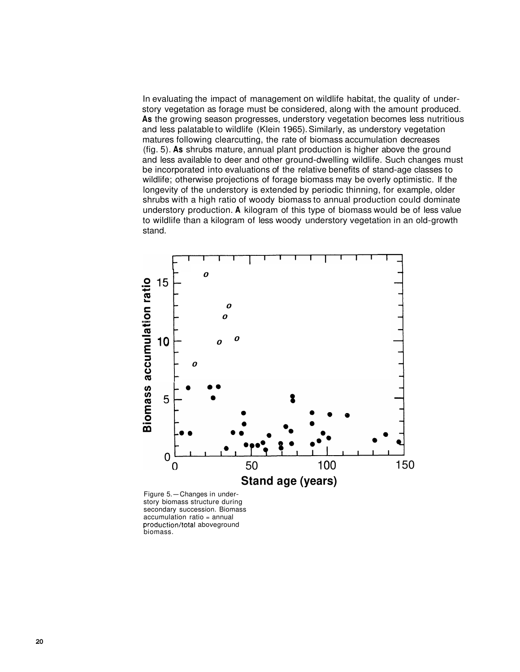In evaluating the impact of management on wildlife habitat, the quality of understory vegetation as forage must be considered, along with the amount produced. **As** the growing season progresses, understory vegetation becomes less nutritious and less palatable to wildlife (Klein 1965). Similarly, as understory vegetation matures following clearcutting, the rate of biomass accumulation decreases (fig. 5). **As** shrubs mature, annual plant production is higher above the ground and less available to deer and other ground-dwelling wildlife. Such changes must be incorporated into evaluations of the relative benefits of stand-age classes to wildlife; otherwise projections of forage biomass may be overly optimistic. If the longevity of the understory is extended by periodic thinning, for example, older shrubs with a high ratio of woody biomass to annual production could dominate understory production. **A** kilogram of this type of biomass would be of less value to wildlife than a kilogram of less woody understory vegetation in an old-growth stand.



Figure 5.-Changes in understory biomass structure during secondary succession. Biomass accumulation ratio = annual production/total aboveground biomass.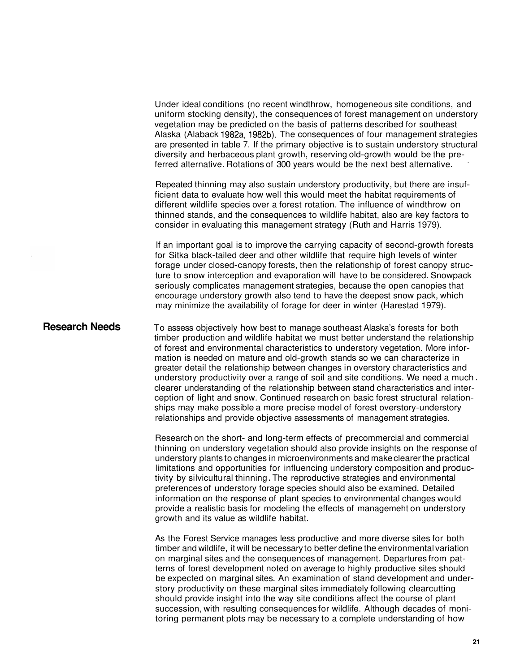Under ideal conditions (no recent windthrow, homogeneous site conditions, and uniform stocking density), the consequences of forest management on understory vegetation may be predicted on the basis of patterns described for southeast Alaska (Alaback 1982a, 1982b). The consequences of four management strategies are presented in table 7. If the primary objective is to sustain understory structural diversity and herbaceous plant growth, reserving old-growth would be the preferred alternative. Rotations of 300 years would be the next best alternative. .

Repeated thinning may also sustain understory productivity, but there are insufficient data to evaluate how well this would meet the habitat requirements of different wildlife species over a forest rotation. The influence of windthrow on thinned stands, and the consequences to wildlife habitat, also are key factors to consider in evaluating this management strategy (Ruth and Harris 1979).

If an important goal is to improve the carrying capacity of second-growth forests for Sitka black-tailed deer and other wildlife that require high levels of winter forage under closed-canopy forests, then the relationship of forest canopy structure to snow interception and evaporation will have to be considered. Snowpack seriously complicates management strategies, because the open canopies that encourage understory growth also tend to have the deepest snow pack, which may minimize the availability of forage for deer in winter (Harestad 1979).

**Research Needs**  To assess objectively how best to manage southeast Alaska's forests for both timber production and wildlife habitat we must better understand the relationship of forest and environmental characteristics to understory vegetation. More information is needed on mature and old-growth stands so we can characterize in greater detail the relationship between changes in overstory characteristics and understory productivity over a range of soil and site conditions. We need a much. clearer understanding of the relationship between stand characteristics and interception of light and snow. Continued research on basic forest structural relationships may make possible a more precise model of forest overstory-understory

> Research on the short- and long-term effects of precommercial and commercial thinning on understory vegetation should also provide insights on the response of understory plants to changes in microenvironments and make clearer the practical limitations and opportunities for influencing understory composition and productivity by silvicultural thinning. The reproductive strategies and environmental preferences of understory forage species should also be examined. Detailed information on the response of plant species to environmental changes would provide a realistic basis for modeling the effects of managemeht on understory growth and its value as wildlife habitat.

relationships and provide objective assessments of management strategies.

As the Forest Service manages less productive and more diverse sites for both timber and wildlife, it will be necessary to better define the environmental variation on marginal sites and the consequences of management. Departures from patterns of forest development noted on average to highly productive sites should be expected on marginal sites. An examination of stand development and understory productivity on these marginal sites immediately following clearcutting should provide insight into the way site conditions affect the course of plant succession, with resulting consequences for wildlife. Although decades of monitoring permanent plots may be necessary to a complete understanding of how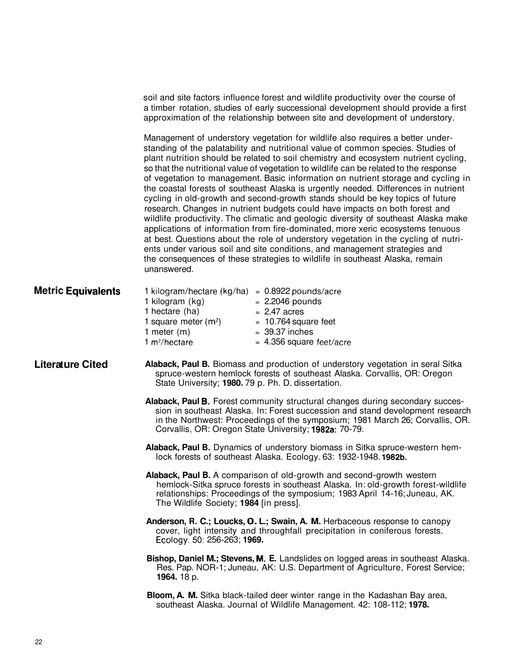|                           |                                                                                                                                                                                                                                                                                   | soil and site factors influence forest and wildlife productivity over the course of<br>a timber rotation, studies of early successional development should provide a first<br>approximation of the relationship between site and development of understory.                                                                                                                                                                                                                                                                                                                                                                                                                                                                                                                                                                                                                                                                                                                                                                                                                                                                   |  |  |
|---------------------------|-----------------------------------------------------------------------------------------------------------------------------------------------------------------------------------------------------------------------------------------------------------------------------------|-------------------------------------------------------------------------------------------------------------------------------------------------------------------------------------------------------------------------------------------------------------------------------------------------------------------------------------------------------------------------------------------------------------------------------------------------------------------------------------------------------------------------------------------------------------------------------------------------------------------------------------------------------------------------------------------------------------------------------------------------------------------------------------------------------------------------------------------------------------------------------------------------------------------------------------------------------------------------------------------------------------------------------------------------------------------------------------------------------------------------------|--|--|
|                           | unanswered.                                                                                                                                                                                                                                                                       | Management of understory vegetation for wildlife also requires a better under-<br>standing of the palatability and nutritional value of common species. Studies of<br>plant nutrition should be related to soil chemistry and ecosystem nutrient cycling,<br>so that the nutritional value of vegetation to wildlife can be related to the response<br>of vegetation to management. Basic information on nutrient storage and cycling in<br>the coastal forests of southeast Alaska is urgently needed. Differences in nutrient<br>cycling in old-growth and second-growth stands should be key topics of future<br>research. Changes in nutrient budgets could have impacts on both forest and<br>wildlife productivity. The climatic and geologic diversity of southeast Alaska make<br>applications of information from fire-dominated, more xeric ecosystems tenuous<br>at best. Questions about the role of understory vegetation in the cycling of nutri-<br>ents under various soil and site conditions, and management strategies and<br>the consequences of these strategies to wildlife in southeast Alaska, remain |  |  |
| <b>Metric Equivalents</b> | 1 kilogram/hectare (kg/ha) = $0.8922$ pounds/acre<br>1 kilogram (kg)<br>1 hectare (ha)<br>1 square meter $(m2)$<br>1 meter $(m)$<br>1 $m^2/h$ ectare                                                                                                                              | $= 2.2046$ pounds<br>$= 2.47$ acres<br>$= 10.764$ square feet<br>$= 39.37$ inches<br>$= 4.356$ square feet/acre                                                                                                                                                                                                                                                                                                                                                                                                                                                                                                                                                                                                                                                                                                                                                                                                                                                                                                                                                                                                               |  |  |
| <b>Literature Cited</b>   | Alaback, Paul B. Biomass and production of understory vegetation in seral Sitka<br>spruce-western hemlock forests of southeast Alaska. Corvallis, OR: Oregon<br>State University; 1980. 79 p. Ph. D. dissertation.                                                                |                                                                                                                                                                                                                                                                                                                                                                                                                                                                                                                                                                                                                                                                                                                                                                                                                                                                                                                                                                                                                                                                                                                               |  |  |
|                           |                                                                                                                                                                                                                                                                                   | Alaback, Paul B. Forest community structural changes during secondary succes-<br>sion in southeast Alaska. In: Forest succession and stand development research<br>in the Northwest: Proceedings of the symposium; 1981 March 26; Corvallis, OR.<br>Corvallis, OR: Oregon State University; 1982a: 70-79.                                                                                                                                                                                                                                                                                                                                                                                                                                                                                                                                                                                                                                                                                                                                                                                                                     |  |  |
|                           | Alaback, Paul B. Dynamics of understory biomass in Sitka spruce-western hem-<br>lock forests of southeast Alaska. Ecology. 63: 1932-1948. 1982b.                                                                                                                                  |                                                                                                                                                                                                                                                                                                                                                                                                                                                                                                                                                                                                                                                                                                                                                                                                                                                                                                                                                                                                                                                                                                                               |  |  |
|                           | Alaback, Paul B. A comparison of old-growth and second-growth western<br>hemlock-Sitka spruce forests in southeast Alaska. In: old-growth forest-wildlife<br>relationships: Proceedings of the symposium; 1983 April 14-16; Juneau, AK.<br>The Wildlife Society; 1984 [in press]. |                                                                                                                                                                                                                                                                                                                                                                                                                                                                                                                                                                                                                                                                                                                                                                                                                                                                                                                                                                                                                                                                                                                               |  |  |
|                           | Anderson, R. C.; Loucks, O. L.; Swain, A. M. Herbaceous response to canopy<br>cover, light intensity and throughfall precipitation in coniferous forests.<br>Ecology. 50: 256-263; 1969.                                                                                          |                                                                                                                                                                                                                                                                                                                                                                                                                                                                                                                                                                                                                                                                                                                                                                                                                                                                                                                                                                                                                                                                                                                               |  |  |
|                           | Bishop, Daniel M.; Stevens, M. E. Landslides on logged areas in southeast Alaska.<br>Res. Pap. NOR-1; Juneau, AK: U.S. Department of Agriculture, Forest Service;<br><b>1964.</b> 18 p.                                                                                           |                                                                                                                                                                                                                                                                                                                                                                                                                                                                                                                                                                                                                                                                                                                                                                                                                                                                                                                                                                                                                                                                                                                               |  |  |
|                           |                                                                                                                                                                                                                                                                                   | Bloom, A. M. Sitka black-tailed deer winter range in the Kadashan Bay area,<br>southeast Alaska. Journal of Wildlife Management. 42: 108-112; 1978.                                                                                                                                                                                                                                                                                                                                                                                                                                                                                                                                                                                                                                                                                                                                                                                                                                                                                                                                                                           |  |  |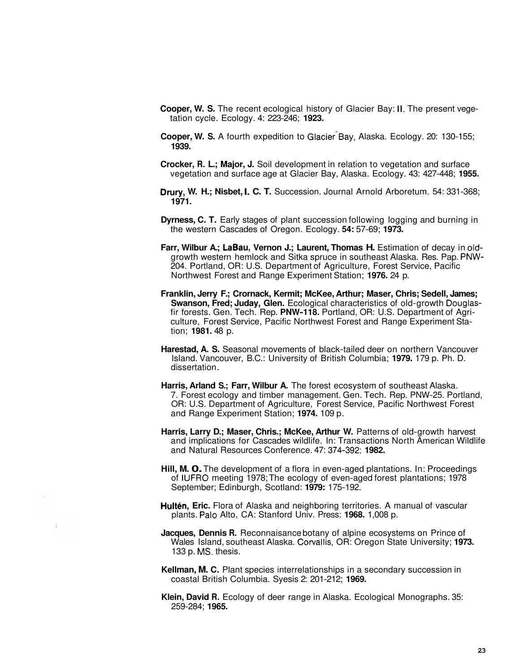- **Cooper, W. S.** The recent ecological history of Glacier Bay: II. The present vegetation cycle. Ecology. 4: 223-246; **1923.**
- **Cooper, W. S.** A fourth expedition to Glacier Bay, Alaska. Ecology. 20: 130-155; **1939.**
- **Crocker, R. L.; Major, J.** Soil development in relation to vegetation and surface vegetation and surface age at Glacier Bay, Alaska. Ecology. 43: 427-448; **1955.**
- **Drury, W. H.; Nisbet, 1. C. T.** Succession. Journal Arnold Arboretum. 54: 331-368; **1971.**
- **Dyrness, C. T.** Early stages of plant succession following logging and burning in the western Cascades of Oregon. Ecology. **54:** 57-69; **1973.**
- **Farr, Wilbur A.; LaBau, Vernon J.; Laurent, Thomas H.** Estimation of decay in oldgrowth western hemlock and Sitka spruce in southeast Alaska. Res. Pap. PNW-204. Portland, OR: U.S. Department of Agriculture, Forest Service, Pacific Northwest Forest and Range Experiment Station; **1976.** 24 p.
- **Franklin, Jerry F.; Crornack, Kermit; McKee, Arthur; Maser, Chris; Sedell, James; Swanson, Fred; Juday, Glen.** Ecological characteristics of old-growth Douglasfir forests. Gen. Tech. Rep. **PNW-118.** Portland, OR: U.S. Department of Agriculture, Forest Service, Pacific Northwest Forest and Range Experiment Station; **1981.** 48 p.
- **Harestad, A. S.** Seasonal movements of black-tailed deer on northern Vancouver Island. Vancouver, B.C.: University of British Columbia; **1979.** 179 p. Ph. D. dissertation .
- **Harris, Arland S.; Farr, Wilbur A.** The forest ecosystem of southeast Alaska. 7. Forest ecology and timber management. Gen. Tech. Rep. PNW-25. Portland, OR: U.S. Department of Agriculture, Forest Service, Pacific Northwest Forest and Range Experiment Station; **1974.** 109 p.
- **Harris, Larry D.; Maser, Chris.; McKee, Arthur W. Patterns of old-growth harvest** and implications for Cascades wildlife. In: Transactions North American Wildlife and Natural Resources Conference. 47: 374-392; **1982.**
- **Hill, M. 0.** The development of a flora in even-aged plantations. In: Proceedings of IUFRO meeting 1978; The ecology of even-aged forest plantations; 1978 September; Edinburgh, Scotland: **1979:** 175-192.
- **Hultén, Eric.** Flora of Alaska and neighboring territories. A manual of vascular plants. Palo Alto, CA: Stanford Univ. Press: **1968.** 1,008 p.
- **Jacques, Dennis R.** Reconnaisance botany of alpine ecosystems on Prince of Wales Island, southeast Alaska. Cowallis, OR: Oregon State University; **1973.**  133 p. MS. thesis.
- **Kellman, M. C.** Plant species interrelationships in a secondary succession in coastal British Columbia. Syesis 2: 201-212; **1969.**
- **Klein, David R.** Ecology of deer range in Alaska. Ecological Monographs. 35: 259-284; **1965.**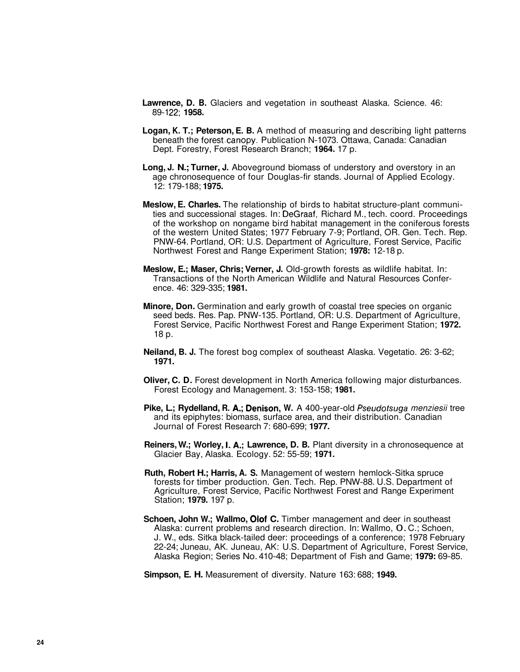- **Lawrence, D. B.** Glaciers and vegetation in southeast Alaska. Science. 46: 89-1 22; **1958.**
- **Logan, K. T.; Peterson, E. B.** A method of measuring and describing light patterns beneath the forest canopy. Publication N-1073. Ottawa, Canada: Canadian Dept. Forestry, Forest Research Branch; **1964.** 17 p.
- **Long, J. N.; Turner, J.** Aboveground biomass of understory and overstory in an age chronosequence of four Douglas-fir stands. Journal of Applied Ecology. 12: 179-188; **1975.**
- **Meslow, E. Charles.** The relationship of birds to habitat structure-plant communities and successional stages. In: DeGraaf, Richard M., tech. coord. Proceedings of the workshop on nongame bird habitat management in the coniferous forests of the western United States; 1977 February 7-9; Portland, OR. Gen. Tech. Rep. PNW-64. Portland, OR: U.S. Department of Agriculture, Forest Service, Pacific Northwest Forest and Range Experiment Station; **1978:** 12-18 p.
- **Meslow, E.; Maser, Chris; Verner, J.** Old-growth forests as wildlife habitat. In: Transactions of the North American Wildlife and Natural Resources Conference. 46: 329-335; **1981.**
- **Minore, Don.** Germination and early growth of coastal tree species on organic seed beds. Res. Pap. PNW-135. Portland, OR: U.S. Department of Agriculture, Forest Service, Pacific Northwest Forest and Range Experiment Station; **1972.**  18 p.
- **Neiland, B. J.** The forest bog complex of southeast Alaska. Vegetatio. 26: 3-62; **1971.**
- **Oliver, C. D.** Forest development in North America following major disturbances. Forest Ecology and Management. 3: 153-158; **1981.**
- **Pike, L.; Rydelland, R. A,; Denison, W.** A 400-year-old Pseudotsuga menziesii tree and its epiphytes: biomass, surface area, and their distribution. Canadian Journal of Forest Research 7: 680-699; **1977.**
- **Reiners, W.; Worley, 1. A,; Lawrence, D. B.** Plant diversity in a chronosequence at Glacier Bay, Alaska. Ecology. 52: 55-59; **1971.**
- **Ruth, Robert H.; Harris, A. S.** Management of western hemlock-Sitka spruce forests for timber production. Gen. Tech. Rep. PNW-88. U.S. Department of Agriculture, Forest Service, Pacific Northwest Forest and Range Experiment Station; **1979.** 197 p.
- **Schoen, John W.; Wallmo, Qlof C.** Timber management and deer in southeast Alaska: current problems and research direction. In: Wallmo, 0. C.; Schoen, J. W., eds. Sitka black-tailed deer: proceedings of a conference; 1978 February 22-24; Juneau, AK. Juneau, AK: U.S. Department of Agriculture, Forest Service, Alaska Region; Series No. 410-48; Department of Fish and Game; **1979:** 69-85.
- **Simpson, E. H.** Measurement of diversity. Nature 163: 688; **1949.**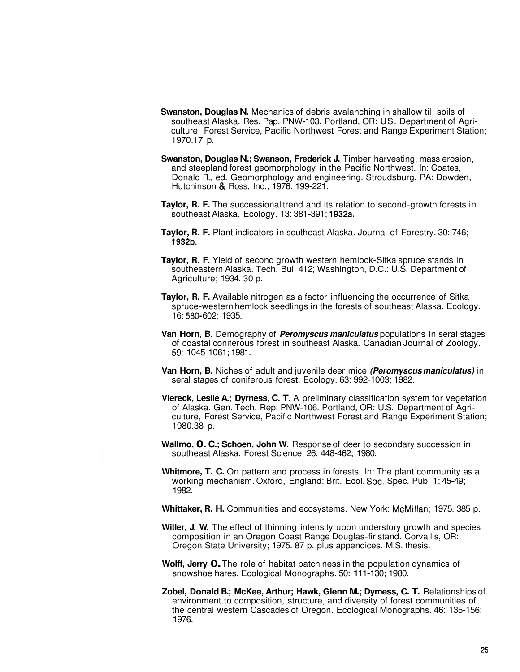- **Swanston, Douglas N.** Mechanics of debris avalanching in shallow till soils of southeast Alaska. Res. Pap. PNW-103. Portland, OR: US. Department of Agriculture, Forest Service, Pacific Northwest Forest and Range Experiment Station; 1970.17 p.
- **Swanston, Douglas N.; Swanson, Frederick J.** Timber harvesting, mass erosion, and steepland forest geomorphology in the Pacific Northwest. In: Coates, Donald R., ed. Geomorphology and engineering. Stroudsburg, PA: Dowden, Hutchinson & Ross, Inc.; 1976: 199-221.
- **Taylor, R. F.** The successional trend and its relation to second-growth forests in southeast Alaska. Ecology. 13: 381-391; 1932a.
- **Taylor, R. F.** Plant indicators in southeast Alaska. Journal of Forestry. 30: 746; 1932b.
- **Taylor, R. F.** Yield of second growth western hemlock-Sitka spruce stands in southeastern Alaska. Tech. Bul. 412; Washington, D.C.: U.S. Department of Agriculture; 1934. 30 p.
- **Taylor, R. F.** Available nitrogen as a factor influencing the occurrence of Sitka spruce-western hemlock seedlings in the forests of southeast Alaska. Ecology. 16: 580-602; 1935.
- **Van Horn, B.** Demography of **Peromyscus maniculatus** populations in seral stages of coastal coniferous forest in southeast Alaska. Canadian Journal of Zoology. 59: 1045-1061; 1981.
- **Van Horn, B.** Niches of adult and juvenile deer mice **(Peromyscus maniculatus)** in seral stages of coniferous forest. Ecology. 63: 992-1003; 1982.
- **Viereck, Leslie A.; Dyrness, C. T.** A preliminary classification system for vegetation of Alaska. Gen. Tech. Rep. PNW-106. Portland, OR: U.S. Department of Agriculture, Forest Service, Pacific Northwest Forest and Range Experiment Station; 1980.38 p.
- **Wallmo, 0. C.; Schoen, John W.** Response of deer to secondary succession in southeast Alaska. Forest Science. 26: 448-462; 1980.
- **Whitmore, T. C.** On pattern and process in forests. In: The plant community as a working mechanism. Oxford, England: Brit. Ecol. Soc. Spec. Pub. 1: 45-49; 1982.
- **Whittaker, R. H.** Communities and ecosystems. New York: McMillan; 1975. 385 p.
- Witler, **J. W.** The effect of thinning intensity upon understory growth and species composition in an Oregon Coast Range Douglas-fir stand. Corvallis, OR: Oregon State University; 1975. 87 p. plus appendices. M.S. thesis.
- **Wolff, Jerry 0.** The role of habitat patchiness in the population dynamics of snowshoe hares. Ecological Monographs. 50: 111-130; 1980.
- **Zobel, Donald B.; McKee, Arthur; Hawk, Glenn M.; Dymess, C. T.** Relationships of environment to composition, structure, and diversity of forest communities of the central western Cascades of Oregon. Ecological Monographs. 46: 135-156; 1976.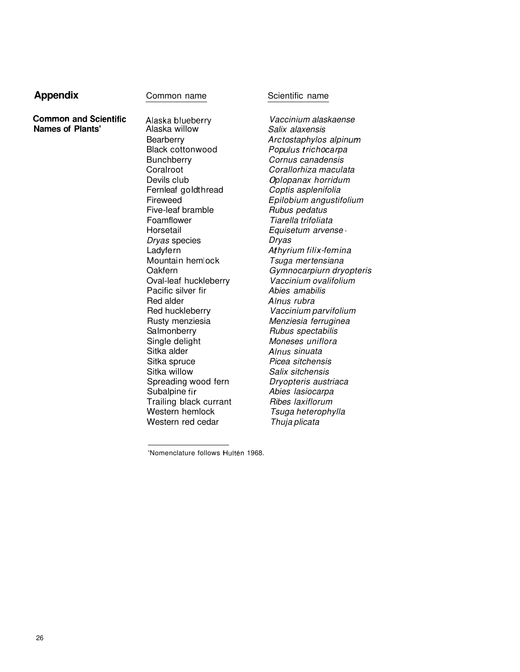## **Appendix Common name** Scientific name

**Common and Scientific** Alaska blueberry **Names of Plants' Alaska willow** 

**Bearberry** Black cottonwood **Bunchberry** Coral root Devils club Fernleaf goldthread Fireweed Five-leaf bramble Foamflower Horsetail Dryas species Ladyfern Mountain hemlock **Oakfern** Oval-leaf huckleberry Pacific silver fir Red alder Red huckleberry Rusty menziesia Salmonberry Single delight Sitka alder Sitka spruce Sitka willow Spreading wood fern Subalpine fir Trailing black currant Western hemlock Western red cedar

Vaccinium alaskaense Salix alaxensis Arc to staphylos alpinum Populus trichocarpa Cornus canadensis Corallorhiza maculata Oplopanax horridum Coptis asplenifolia Epilobium angustifolium Rubus pedatus Tiarella trifoliata Equisetum arvense - Dryas Athyrium filix-femina Tsuga mertensiana Gymnocarpiurn dryopteris Vaccinium ovalifolium Abies amabilis Alnus rubra Vaccinium parvifolium Menziesia ferruginea Rubus spectabilis Moneses uniflora Alnus sinuata Picea sitchensis Salix sitchensis Dryopteris austriaca Abies lasiocarpa Ribes laxiflorum Tsuga heterophylla Thuja plicata

'Nomenclature follows Hultén 1968.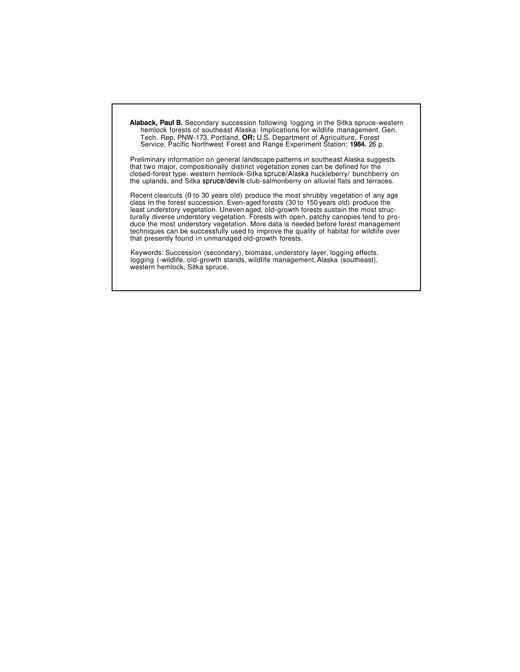**Alaback, Paul B.** Secondary succession following logging in the Sitka spruce-western hemlock forests of southeast Alaska: Implications for wildlife management. Gen. Tech. Rep. PNW-173. Portland, **OR:** U.S. Department of Agriculture, Forest Service, Pacific Northwest Forest and Range Experiment Station; **1984.** 26 p.

Preliminary information on general landscape patterns in southeast Alaska suggests that two major, compositionally distinct vegetation zones can be defined for the closed-forest type: western hemlock-Sitka spruce/Alaska huckleberry/ bunchberry on the uplands, and Sitka spruce/devils club-salmonberry on alluvial flats and terraces.

Recent clearcuts (0 to 30 years old) produce the most shrubby vegetation of any age class in the forest succession. Even-aged forests (30 to 150 years old) produce the least understory vegetation. Uneven aged, old-growth forests sustain the most structurally diverse understory vegetation. Forests with open, patchy canopies tend to produce the most understory vegetation. More data is needed before forest management techniques can be successfully used to improve the quality of habitat for wildlife over that presently found in unmanaged old-growth forests.

Keywords: Succession (secondary), biomass, understory layer, logging effects, logging (-wildlife, old-growth stands, wildlife management, Alaska (southeast), western hemlock, Sitka spruce.